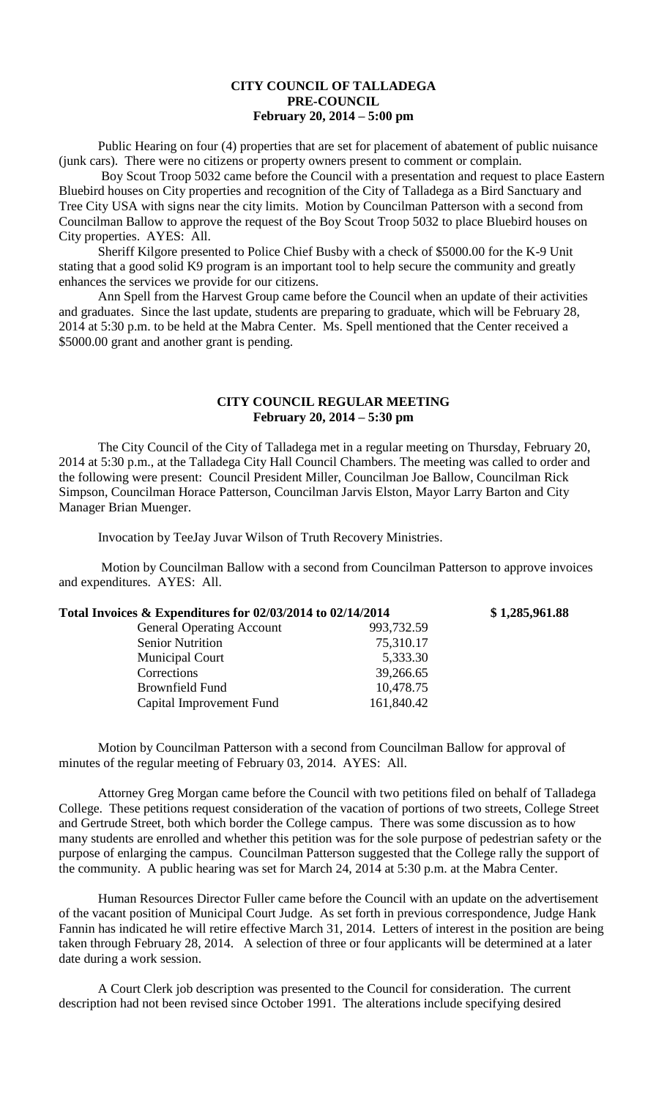## **CITY COUNCIL OF TALLADEGA PRE-COUNCIL February 20, 2014 – 5:00 pm**

Public Hearing on four (4) properties that are set for placement of abatement of public nuisance (junk cars). There were no citizens or property owners present to comment or complain.

Boy Scout Troop 5032 came before the Council with a presentation and request to place Eastern Bluebird houses on City properties and recognition of the City of Talladega as a Bird Sanctuary and Tree City USA with signs near the city limits. Motion by Councilman Patterson with a second from Councilman Ballow to approve the request of the Boy Scout Troop 5032 to place Bluebird houses on City properties. AYES: All.

Sheriff Kilgore presented to Police Chief Busby with a check of \$5000.00 for the K-9 Unit stating that a good solid K9 program is an important tool to help secure the community and greatly enhances the services we provide for our citizens.

Ann Spell from the Harvest Group came before the Council when an update of their activities and graduates. Since the last update, students are preparing to graduate, which will be February 28, 2014 at 5:30 p.m. to be held at the Mabra Center. Ms. Spell mentioned that the Center received a \$5000.00 grant and another grant is pending.

## **CITY COUNCIL REGULAR MEETING February 20, 2014 – 5:30 pm**

The City Council of the City of Talladega met in a regular meeting on Thursday, February 20, 2014 at 5:30 p.m., at the Talladega City Hall Council Chambers. The meeting was called to order and the following were present: Council President Miller, Councilman Joe Ballow, Councilman Rick Simpson, Councilman Horace Patterson, Councilman Jarvis Elston, Mayor Larry Barton and City Manager Brian Muenger.

Invocation by TeeJay Juvar Wilson of Truth Recovery Ministries.

Motion by Councilman Ballow with a second from Councilman Patterson to approve invoices and expenditures. AYES: All.

| Total Invoices & Expenditures for 02/03/2014 to 02/14/2014 |            | \$1,285,961.88 |
|------------------------------------------------------------|------------|----------------|
| <b>General Operating Account</b>                           | 993,732.59 |                |
| <b>Senior Nutrition</b>                                    | 75,310.17  |                |
| <b>Municipal Court</b>                                     | 5,333.30   |                |
| Corrections                                                | 39,266.65  |                |
| Brownfield Fund                                            | 10,478.75  |                |
| Capital Improvement Fund                                   | 161,840.42 |                |
|                                                            |            |                |

Motion by Councilman Patterson with a second from Councilman Ballow for approval of minutes of the regular meeting of February 03, 2014. AYES: All.

Attorney Greg Morgan came before the Council with two petitions filed on behalf of Talladega College. These petitions request consideration of the vacation of portions of two streets, College Street and Gertrude Street, both which border the College campus. There was some discussion as to how many students are enrolled and whether this petition was for the sole purpose of pedestrian safety or the purpose of enlarging the campus. Councilman Patterson suggested that the College rally the support of the community. A public hearing was set for March 24, 2014 at 5:30 p.m. at the Mabra Center.

Human Resources Director Fuller came before the Council with an update on the advertisement of the vacant position of Municipal Court Judge. As set forth in previous correspondence, Judge Hank Fannin has indicated he will retire effective March 31, 2014. Letters of interest in the position are being taken through February 28, 2014. A selection of three or four applicants will be determined at a later date during a work session.

A Court Clerk job description was presented to the Council for consideration. The current description had not been revised since October 1991. The alterations include specifying desired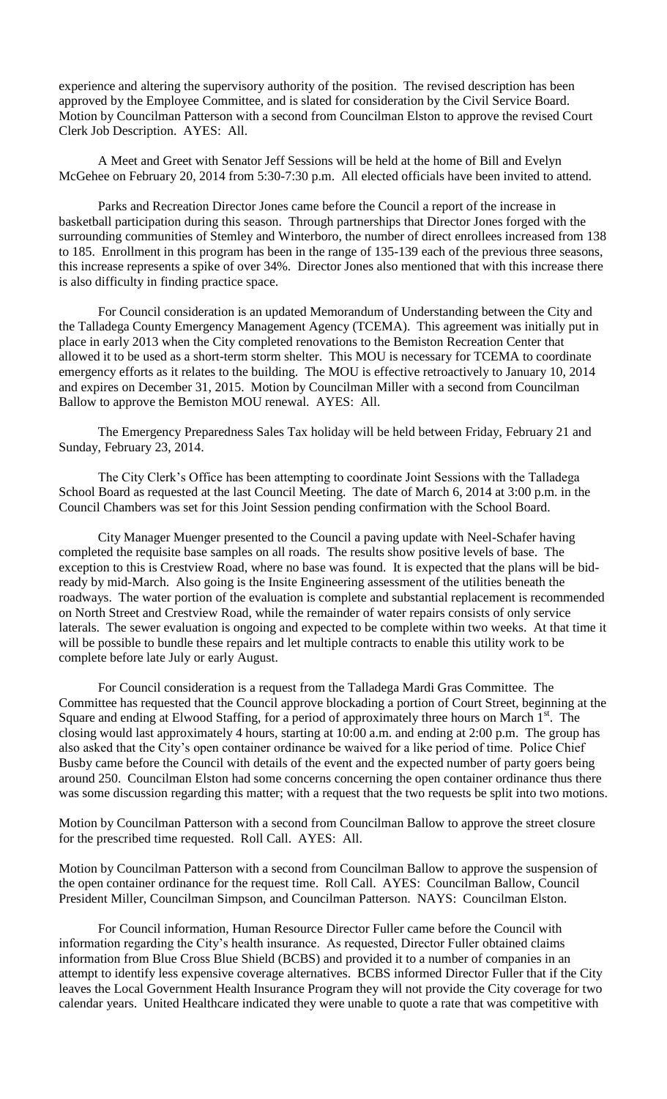experience and altering the supervisory authority of the position. The revised description has been approved by the Employee Committee, and is slated for consideration by the Civil Service Board. Motion by Councilman Patterson with a second from Councilman Elston to approve the revised Court Clerk Job Description. AYES: All.

A Meet and Greet with Senator Jeff Sessions will be held at the home of Bill and Evelyn McGehee on February 20, 2014 from 5:30-7:30 p.m. All elected officials have been invited to attend.

Parks and Recreation Director Jones came before the Council a report of the increase in basketball participation during this season. Through partnerships that Director Jones forged with the surrounding communities of Stemley and Winterboro, the number of direct enrollees increased from 138 to 185. Enrollment in this program has been in the range of 135-139 each of the previous three seasons, this increase represents a spike of over 34%. Director Jones also mentioned that with this increase there is also difficulty in finding practice space.

For Council consideration is an updated Memorandum of Understanding between the City and the Talladega County Emergency Management Agency (TCEMA). This agreement was initially put in place in early 2013 when the City completed renovations to the Bemiston Recreation Center that allowed it to be used as a short-term storm shelter. This MOU is necessary for TCEMA to coordinate emergency efforts as it relates to the building. The MOU is effective retroactively to January 10, 2014 and expires on December 31, 2015. Motion by Councilman Miller with a second from Councilman Ballow to approve the Bemiston MOU renewal. AYES: All.

The Emergency Preparedness Sales Tax holiday will be held between Friday, February 21 and Sunday, February 23, 2014.

The City Clerk's Office has been attempting to coordinate Joint Sessions with the Talladega School Board as requested at the last Council Meeting. The date of March 6, 2014 at 3:00 p.m. in the Council Chambers was set for this Joint Session pending confirmation with the School Board.

City Manager Muenger presented to the Council a paving update with Neel-Schafer having completed the requisite base samples on all roads. The results show positive levels of base. The exception to this is Crestview Road, where no base was found. It is expected that the plans will be bidready by mid-March. Also going is the Insite Engineering assessment of the utilities beneath the roadways. The water portion of the evaluation is complete and substantial replacement is recommended on North Street and Crestview Road, while the remainder of water repairs consists of only service laterals. The sewer evaluation is ongoing and expected to be complete within two weeks. At that time it will be possible to bundle these repairs and let multiple contracts to enable this utility work to be complete before late July or early August.

For Council consideration is a request from the Talladega Mardi Gras Committee. The Committee has requested that the Council approve blockading a portion of Court Street, beginning at the Square and ending at Elwood Staffing, for a period of approximately three hours on March  $1<sup>st</sup>$ . The closing would last approximately 4 hours, starting at 10:00 a.m. and ending at 2:00 p.m. The group has also asked that the City's open container ordinance be waived for a like period of time. Police Chief Busby came before the Council with details of the event and the expected number of party goers being around 250. Councilman Elston had some concerns concerning the open container ordinance thus there was some discussion regarding this matter; with a request that the two requests be split into two motions.

Motion by Councilman Patterson with a second from Councilman Ballow to approve the street closure for the prescribed time requested. Roll Call. AYES: All.

Motion by Councilman Patterson with a second from Councilman Ballow to approve the suspension of the open container ordinance for the request time. Roll Call. AYES: Councilman Ballow, Council President Miller, Councilman Simpson, and Councilman Patterson. NAYS: Councilman Elston.

For Council information, Human Resource Director Fuller came before the Council with information regarding the City's health insurance. As requested, Director Fuller obtained claims information from Blue Cross Blue Shield (BCBS) and provided it to a number of companies in an attempt to identify less expensive coverage alternatives. BCBS informed Director Fuller that if the City leaves the Local Government Health Insurance Program they will not provide the City coverage for two calendar years. United Healthcare indicated they were unable to quote a rate that was competitive with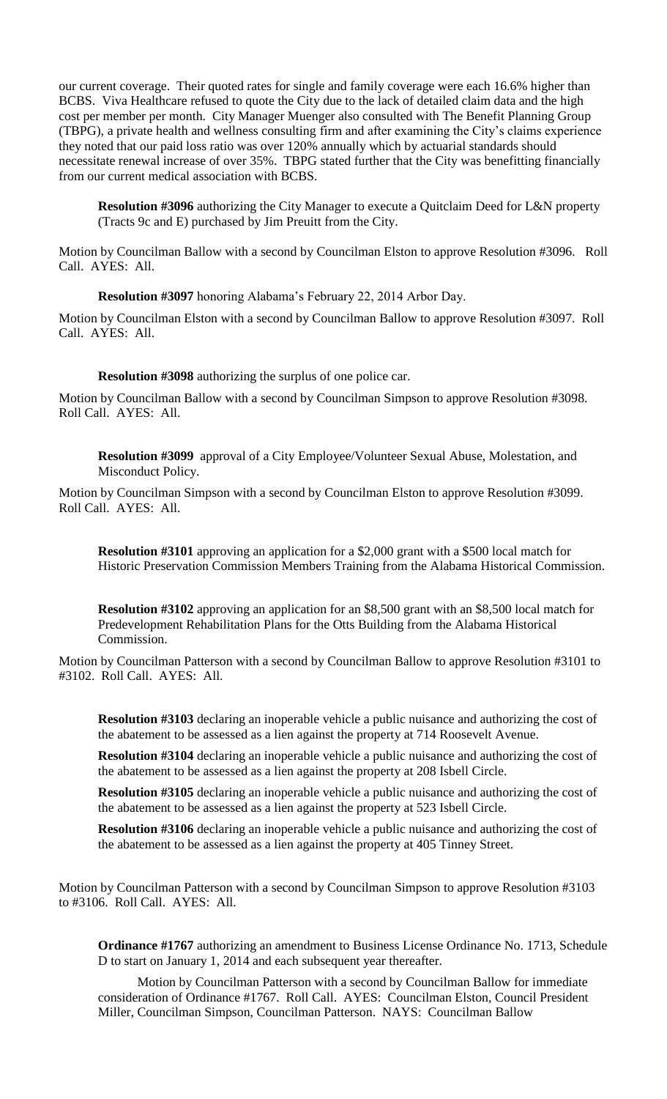our current coverage. Their quoted rates for single and family coverage were each 16.6% higher than BCBS. Viva Healthcare refused to quote the City due to the lack of detailed claim data and the high cost per member per month. City Manager Muenger also consulted with The Benefit Planning Group (TBPG), a private health and wellness consulting firm and after examining the City's claims experience they noted that our paid loss ratio was over 120% annually which by actuarial standards should necessitate renewal increase of over 35%. TBPG stated further that the City was benefitting financially from our current medical association with BCBS.

**Resolution #3096** authorizing the City Manager to execute a Quitclaim Deed for L&N property (Tracts 9c and E) purchased by Jim Preuitt from the City.

Motion by Councilman Ballow with a second by Councilman Elston to approve Resolution #3096. Roll Call. AYES: All.

**Resolution #3097** honoring Alabama's February 22, 2014 Arbor Day.

Motion by Councilman Elston with a second by Councilman Ballow to approve Resolution #3097. Roll Call. AYES: All.

**Resolution #3098** authorizing the surplus of one police car.

Motion by Councilman Ballow with a second by Councilman Simpson to approve Resolution #3098. Roll Call. AYES: All.

**Resolution #3099** approval of a City Employee/Volunteer Sexual Abuse, Molestation, and Misconduct Policy.

Motion by Councilman Simpson with a second by Councilman Elston to approve Resolution #3099. Roll Call. AYES: All.

**Resolution #3101** approving an application for a \$2,000 grant with a \$500 local match for Historic Preservation Commission Members Training from the Alabama Historical Commission.

**Resolution #3102** approving an application for an \$8,500 grant with an \$8,500 local match for Predevelopment Rehabilitation Plans for the Otts Building from the Alabama Historical Commission.

Motion by Councilman Patterson with a second by Councilman Ballow to approve Resolution #3101 to #3102. Roll Call. AYES: All.

**Resolution #3103** declaring an inoperable vehicle a public nuisance and authorizing the cost of the abatement to be assessed as a lien against the property at 714 Roosevelt Avenue.

**Resolution #3104** declaring an inoperable vehicle a public nuisance and authorizing the cost of the abatement to be assessed as a lien against the property at 208 Isbell Circle.

**Resolution #3105** declaring an inoperable vehicle a public nuisance and authorizing the cost of the abatement to be assessed as a lien against the property at 523 Isbell Circle.

**Resolution #3106** declaring an inoperable vehicle a public nuisance and authorizing the cost of the abatement to be assessed as a lien against the property at 405 Tinney Street.

Motion by Councilman Patterson with a second by Councilman Simpson to approve Resolution #3103 to #3106. Roll Call. AYES: All.

**Ordinance #1767** authorizing an amendment to Business License Ordinance No. 1713, Schedule D to start on January 1, 2014 and each subsequent year thereafter.

Motion by Councilman Patterson with a second by Councilman Ballow for immediate consideration of Ordinance #1767. Roll Call. AYES: Councilman Elston, Council President Miller, Councilman Simpson, Councilman Patterson. NAYS: Councilman Ballow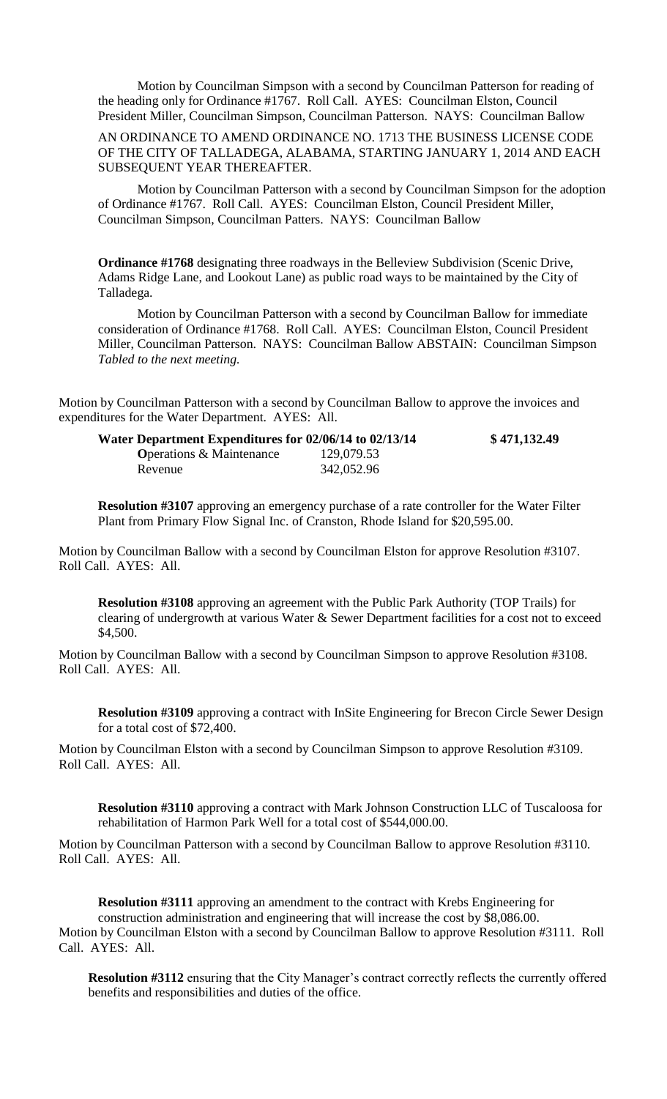Motion by Councilman Simpson with a second by Councilman Patterson for reading of the heading only for Ordinance #1767. Roll Call. AYES: Councilman Elston, Council President Miller, Councilman Simpson, Councilman Patterson. NAYS: Councilman Ballow

AN ORDINANCE TO AMEND ORDINANCE NO. 1713 THE BUSINESS LICENSE CODE OF THE CITY OF TALLADEGA, ALABAMA, STARTING JANUARY 1, 2014 AND EACH SUBSEQUENT YEAR THEREAFTER.

Motion by Councilman Patterson with a second by Councilman Simpson for the adoption of Ordinance #1767. Roll Call. AYES: Councilman Elston, Council President Miller, Councilman Simpson, Councilman Patters. NAYS: Councilman Ballow

**Ordinance #1768** designating three roadways in the Belleview Subdivision (Scenic Drive, Adams Ridge Lane, and Lookout Lane) as public road ways to be maintained by the City of Talladega.

Motion by Councilman Patterson with a second by Councilman Ballow for immediate consideration of Ordinance #1768. Roll Call. AYES: Councilman Elston, Council President Miller, Councilman Patterson. NAYS: Councilman Ballow ABSTAIN: Councilman Simpson *Tabled to the next meeting.*

Motion by Councilman Patterson with a second by Councilman Ballow to approve the invoices and expenditures for the Water Department. AYES: All.

| Water Department Expenditures for 02/06/14 to 02/13/14 |            | \$471,132.49 |
|--------------------------------------------------------|------------|--------------|
| <b>Operations &amp; Maintenance</b>                    | 129,079.53 |              |
| Revenue                                                | 342,052.96 |              |

**Resolution #3107** approving an emergency purchase of a rate controller for the Water Filter Plant from Primary Flow Signal Inc. of Cranston, Rhode Island for \$20,595.00.

Motion by Councilman Ballow with a second by Councilman Elston for approve Resolution #3107. Roll Call. AYES: All.

**Resolution #3108** approving an agreement with the Public Park Authority (TOP Trails) for clearing of undergrowth at various Water & Sewer Department facilities for a cost not to exceed \$4,500.

Motion by Councilman Ballow with a second by Councilman Simpson to approve Resolution #3108. Roll Call. AYES: All.

**Resolution #3109** approving a contract with InSite Engineering for Brecon Circle Sewer Design for a total cost of \$72,400.

Motion by Councilman Elston with a second by Councilman Simpson to approve Resolution #3109. Roll Call. AYES: All.

**Resolution #3110** approving a contract with Mark Johnson Construction LLC of Tuscaloosa for rehabilitation of Harmon Park Well for a total cost of \$544,000.00.

Motion by Councilman Patterson with a second by Councilman Ballow to approve Resolution #3110. Roll Call. AYES: All.

**Resolution #3111** approving an amendment to the contract with Krebs Engineering for construction administration and engineering that will increase the cost by \$8,086.00. Motion by Councilman Elston with a second by Councilman Ballow to approve Resolution #3111. Roll Call. AYES: All.

**Resolution #3112** ensuring that the City Manager's contract correctly reflects the currently offered benefits and responsibilities and duties of the office.